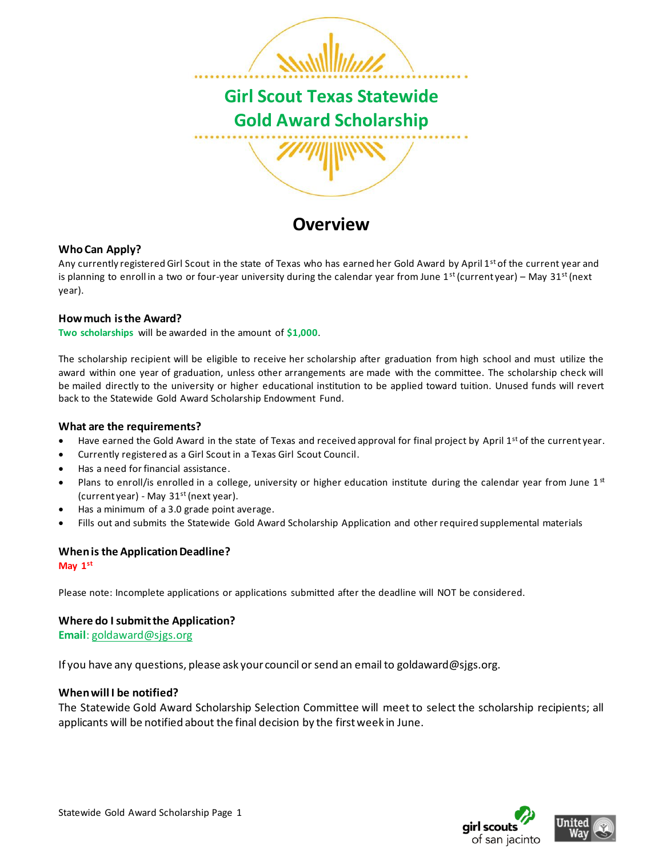

## **Overview**

### **Who Can Apply?**

Any currently registered Girl Scout in the state of Texas who has earned her Gold Award by April 1<sup>st</sup> of the current year and is planning to enroll in a two or four-year university during the calendar year from June  $1<sup>st</sup>$  (current year) – May  $31<sup>st</sup>$  (next year).

### **How much is the Award?**

**Two scholarships** will be awarded in the amount of **\$1,000**.

The scholarship recipient will be eligible to receive her scholarship after graduation from high school and must utilize the award within one year of graduation, unless other arrangements are made with the committee. The scholarship check will be mailed directly to the university or higher educational institution to be applied toward tuition. Unused funds will revert back to the Statewide Gold Award Scholarship Endowment Fund.

#### **What are the requirements?**

- Have earned the Gold Award in the state of Texas and received approval for final project by April  $1^{st}$  of the current year.
- Currently registered as a Girl Scout in a Texas Girl Scout Council.
- Has a need for financial assistance.
- Plans to enroll/is enrolled in a college, university or higher education institute during the calendar year from June  $1<sup>st</sup>$ (current year) - May  $31<sup>st</sup>$  (next year).
- Has a minimum of a 3.0 grade point average.
- Fills out and submits the Statewide Gold Award Scholarship Application and other required supplemental materials

#### **When is the Application Deadline?**

**May 1st**

Please note: Incomplete applications or applications submitted after the deadline will NOT be considered.

#### **Where do I submit the Application?**

**Email**[: goldaward@sjgs.org](mailto:goldaward@sjgs.org)

If you have any questions, please ask your council or send an email to goldaward@sjgs.org.

### **When will I be notified?**

The Statewide Gold Award Scholarship Selection Committee will meet to select the scholarship recipients; all applicants will be notified about the final decision by the first week in June.



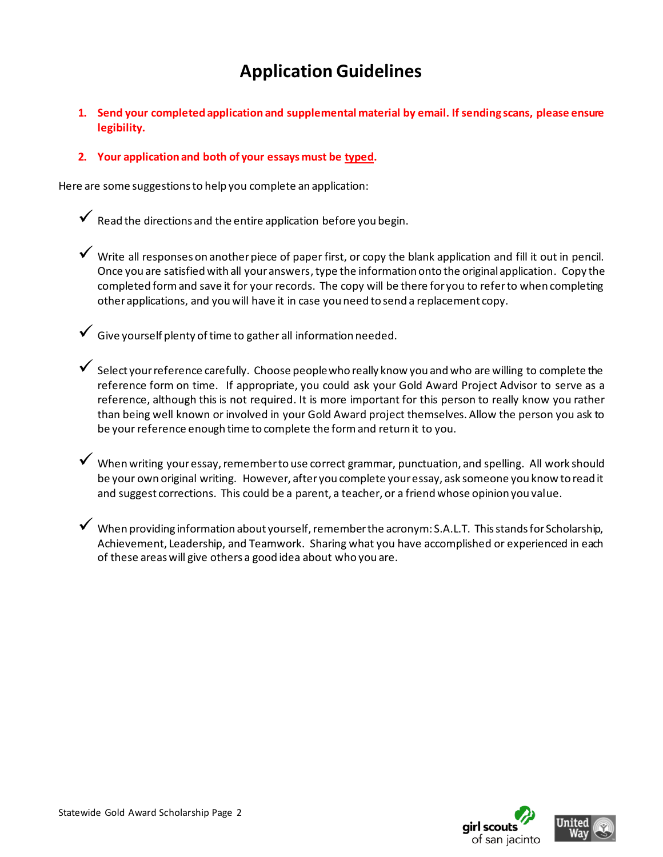# **Application Guidelines**

**1. Send your completed application and supplemental material by email. If sending scans, please ensure legibility.**

### **2. Your application and both of your essays must be typed.**

Here are some suggestions to help you complete an application:

 $\checkmark$  Read the directions and the entire application before you begin.

✓ Write all responses on another piece of paper first, or copy the blank application and fill it out in pencil. Once you are satisfied with all your answers, type the information onto the original application. Copy the completed form and save it for your records. The copy will be there for you to refer to when completing other applications, and you will have it in case you need to send a replacement copy.

 $\checkmark$  Give yourself plenty of time to gather all information needed.

 $\checkmark$  Select your reference carefully. Choose people who really know you and who are willing to complete the reference form on time. If appropriate, you could ask your Gold Award Project Advisor to serve as a reference, although this is not required. It is more important for this person to really know you rather than being well known or involved in your Gold Award project themselves. Allow the person you ask to be your reference enough time to complete the form and return it to you.

 $\checkmark$  When writing your essay, remember to use correct grammar, punctuation, and spelling. All work should be your own original writing. However, after you complete your essay, ask someone you know to read it and suggest corrections. This could be a parent, a teacher, or a friend whose opinion you value.

✓ When providing information about yourself, remember the acronym: S.A.L.T. This stands for Scholarship, Achievement, Leadership, and Teamwork. Sharing what you have accomplished or experienced in each of these areas will give others a good idea about who you are.



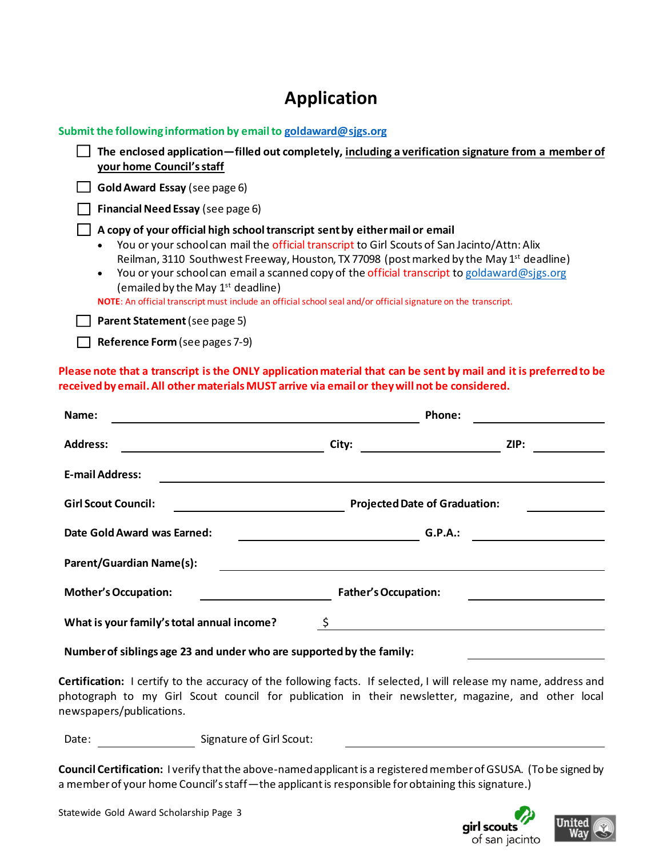# **Application**

| Submit the following information by email to goldaward@sjgs.org                                                                                                                                                                                                                                                                                                                                                                                                                                                                                         |
|---------------------------------------------------------------------------------------------------------------------------------------------------------------------------------------------------------------------------------------------------------------------------------------------------------------------------------------------------------------------------------------------------------------------------------------------------------------------------------------------------------------------------------------------------------|
| The enclosed application—filled out completely, including a verification signature from a member of<br>your home Council's staff                                                                                                                                                                                                                                                                                                                                                                                                                        |
| Gold Award Essay (see page 6)                                                                                                                                                                                                                                                                                                                                                                                                                                                                                                                           |
| Financial Need Essay (see page 6)                                                                                                                                                                                                                                                                                                                                                                                                                                                                                                                       |
| A copy of your official high school transcript sent by either mail or email<br>You or your school can mail the official transcript to Girl Scouts of San Jacinto/Attn: Alix<br>Reilman, 3110 Southwest Freeway, Houston, TX 77098 (post marked by the May 1st deadline)<br>You or your school can email a scanned copy of the official transcript to goldaward@sjgs.org<br>$\bullet$<br>(emailed by the May 1 <sup>st</sup> deadline)<br>NOTE: An official transcript must include an official school seal and/or official signature on the transcript. |
| Parent Statement (see page 5)                                                                                                                                                                                                                                                                                                                                                                                                                                                                                                                           |

**Please note that a transcript is the ONLY application material that can be sent by mail and it is preferred to be received by email. All other materialsMUST arrive via email or they will not be considered.**

| Name:                                            | Phone:                               |      |
|--------------------------------------------------|--------------------------------------|------|
| <b>Address:</b>                                  | City:                                | ZIP: |
| <b>E-mail Address:</b>                           |                                      |      |
| <b>Girl Scout Council:</b>                       | <b>Projected Date of Graduation:</b> |      |
| Date Gold Award was Earned:                      | G.P.A.:                              |      |
| <b>Parent/Guardian Name(s):</b>                  |                                      |      |
| <b>Mother's Occupation:</b>                      | <b>Father's Occupation:</b>          |      |
| \$<br>What is your family's total annual income? |                                      |      |

**Number of siblings age 23 and under who are supported by the family:**

**Certification:** I certify to the accuracy of the following facts. If selected, I will release my name, address and photograph to my Girl Scout council for publication in their newsletter, magazine, and other local newspapers/publications.

Date: Signature of Girl Scout:

**Reference Form** (see pages 7-9)

**Council Certification:** I verify that the above-namedapplicant is a registered member of GSUSA. (To be signed by a member of your home Council's staff—the applicant is responsible for obtaining this signature.)





Statewide Gold Award Scholarship Page 3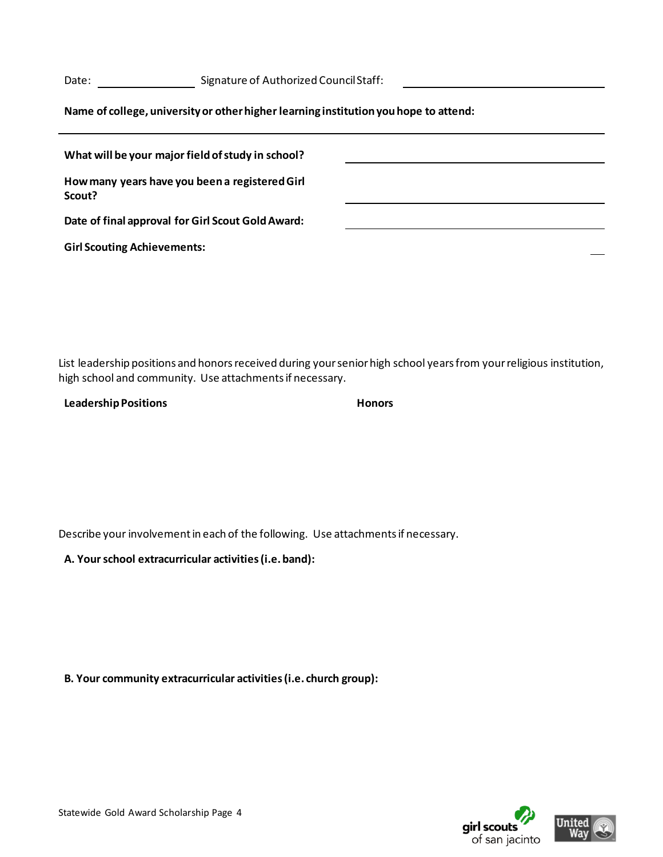Date: Signature of Authorized Council Staff:

**Name of college, university or other higher learning institution you hope to attend:**

| What will be your major field of study in school?        |  |
|----------------------------------------------------------|--|
| How many years have you been a registered Girl<br>Scout? |  |
| Date of final approval for Girl Scout Gold Award:        |  |
| <b>Girl Scouting Achievements:</b>                       |  |

List leadership positions and honors received during your senior high school years from your religious institution, high school and community. Use attachments if necessary.

| <b>Leadership Positions</b> | <b>Honors</b> |
|-----------------------------|---------------|
|-----------------------------|---------------|

Describe your involvement in each of the following. Use attachments if necessary.

**A. Your school extracurricular activities (i.e. band):** 

**B. Your community extracurricular activities (i.e. church group):** 



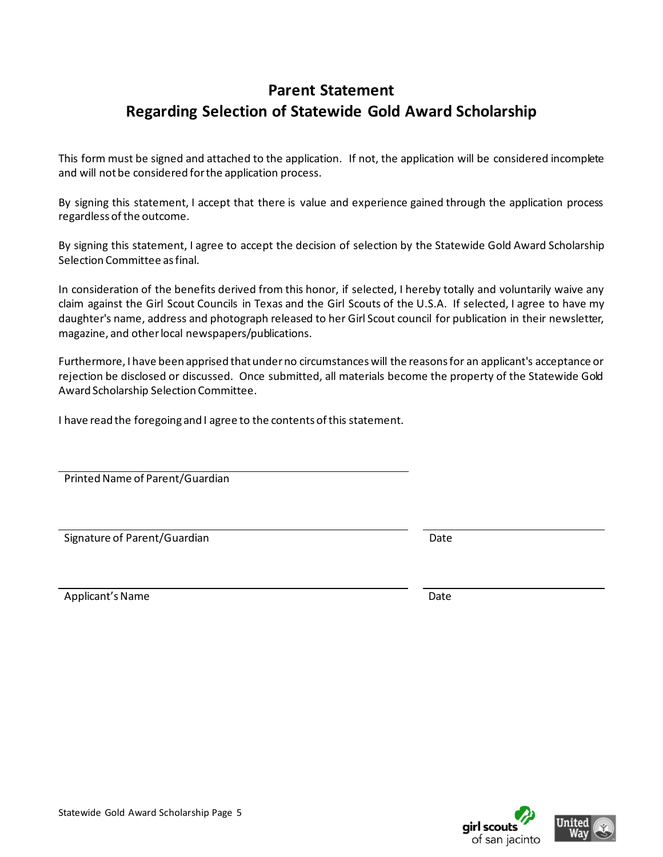## **Parent Statement Regarding Selection of Statewide Gold Award Scholarship**

This form must be signed and attached to the application. If not, the application will be considered incomplete and will not be considered for the application process.

By signing this statement, I accept that there is value and experience gained through the application process regardless of the outcome.

By signing this statement, I agree to accept the decision of selection by the Statewide Gold Award Scholarship Selection Committee as final.

In consideration of the benefits derived from this honor, if selected, I hereby totally and voluntarily waive any claim against the Girl Scout Councils in Texas and the Girl Scouts of the U.S.A. If selected, I agree to have my daughter's name, address and photograph released to her Girl Scout council for publication in their newsletter, magazine, and other local newspapers/publications.

Furthermore, I have been apprised that under no circumstances will the reasons for an applicant's acceptance or rejection be disclosed or discussed. Once submitted, all materials become the property of the Statewide Gold Award Scholarship Selection Committee.

I have read the foregoing and I agree to the contents of this statement.

Printed Name of Parent/Guardian

Signature of Parent/Guardian Date by Calculation Date Date

Applicant's Name Date of the Contract of the Contract of the Date Date of the Date of the Date of the Date of the Date of the Date of the Date of the Date of the Date of the Date of the Date of the Date of the Date of the





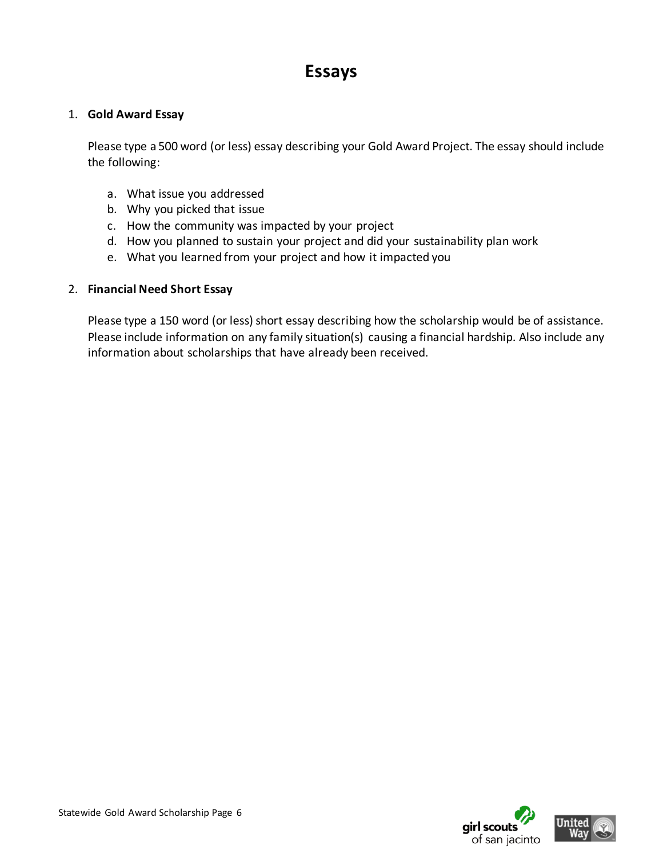# **Essays**

### 1. **Gold Award Essay**

Please type a 500 word (or less) essay describing your Gold Award Project. The essay should include the following:

- a. What issue you addressed
- b. Why you picked that issue
- c. How the community was impacted by your project
- d. How you planned to sustain your project and did your sustainability plan work
- e. What you learned from your project and how it impacted you

### 2. **Financial Need Short Essay**

Please type a 150 word (or less) short essay describing how the scholarship would be of assistance. Please include information on any family situation(s) causing a financial hardship. Also include any information about scholarships that have already been received.



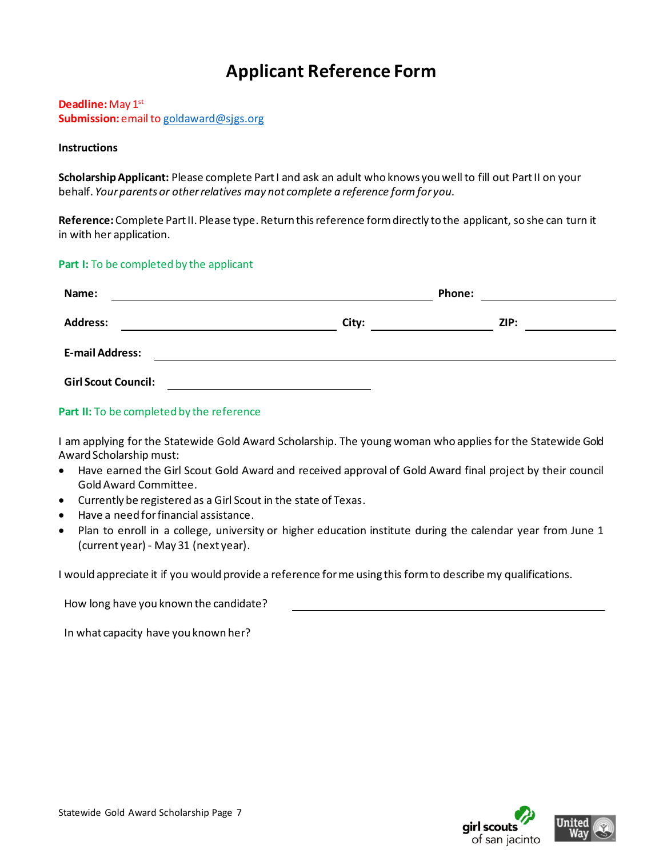# **Applicant Reference Form**

**Deadline:**May 1st **Submission:** email t[o goldaward@sjgs.org](mailto:goldaward@sjgs.org)

### **Instructions**

**Scholarship Applicant:** Please complete Part I and ask an adult who knows you well to fill out Part II on your behalf. *Your parents or other relatives may not complete a reference form for you.*

**Reference:** Complete Part II. Please type. Return this reference form directly to the applicant, so she can turn it in with her application.

### **Part I:** To be completed by the applicant

| Name:                      | Phone: |      |
|----------------------------|--------|------|
| <b>Address:</b>            | City:  | ZIP: |
| <b>E-mail Address:</b>     |        |      |
| <b>Girl Scout Council:</b> |        |      |

### Part II: To be completed by the reference

I am applying for the Statewide Gold Award Scholarship. The young woman who applies for the Statewide Gold Award Scholarship must:

- Have earned the Girl Scout Gold Award and received approval of Gold Award final project by their council Gold Award Committee.
- Currently be registered as a Girl Scout in the state of Texas.
- Have a need for financial assistance.
- Plan to enroll in a college, university or higher education institute during the calendar year from June 1 (current year) - May 31 (next year).

I would appreciate it if you would provide a reference for me using this form to describe my qualifications.

How long have you known the candidate?

In what capacity have you known her?



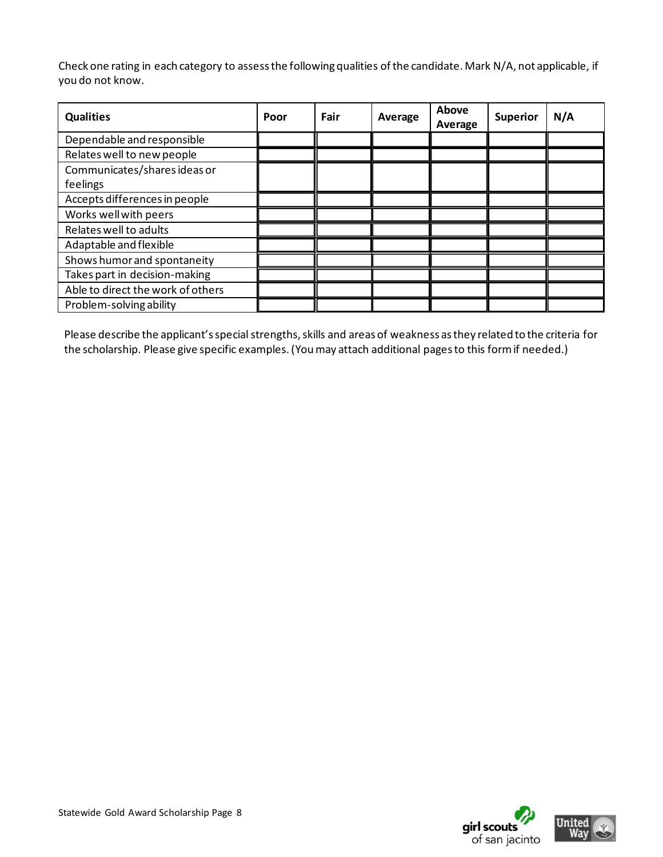Check one rating in each category to assess the following qualities of the candidate. Mark N/A, not applicable, if you do not know.

| <b>Qualities</b>                  | Poor | Fair | Average | Above<br>Average | <b>Superior</b> | N/A |
|-----------------------------------|------|------|---------|------------------|-----------------|-----|
| Dependable and responsible        |      |      |         |                  |                 |     |
| Relates well to new people        |      |      |         |                  |                 |     |
| Communicates/shares ideas or      |      |      |         |                  |                 |     |
| feelings                          |      |      |         |                  |                 |     |
| Accepts differences in people     |      |      |         |                  |                 |     |
| Works well with peers             |      |      |         |                  |                 |     |
| Relates well to adults            |      |      |         |                  |                 |     |
| Adaptable and flexible            |      |      |         |                  |                 |     |
| Shows humor and spontaneity       |      |      |         |                  |                 |     |
| Takes part in decision-making     |      |      |         |                  |                 |     |
| Able to direct the work of others |      |      |         |                  |                 |     |
| Problem-solving ability           |      |      |         |                  |                 |     |

Please describe the applicant's special strengths, skills and areas of weakness as they related to the criteria for the scholarship. Please give specific examples. (You may attach additional pages to this form if needed.)